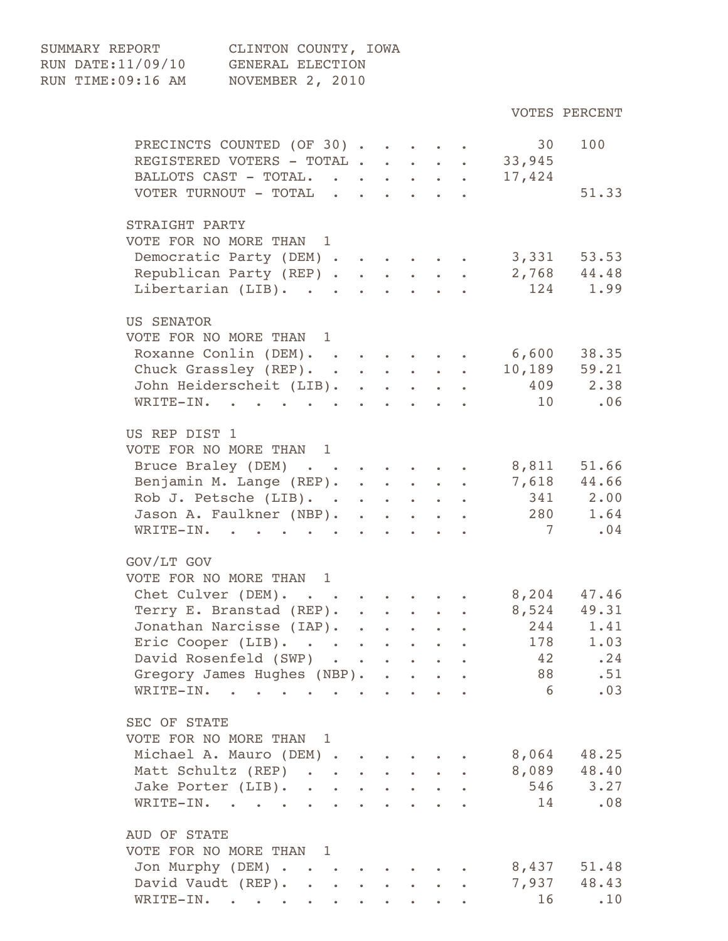| SUMMARY REPORT     | CLINTON COUNTY, IOWA |
|--------------------|----------------------|
| RUN DATE: 11/09/10 | GENERAL ELECTION     |
| RUN TIME:09:16 AM  | NOVEMBER 2, 2010     |

| PRECINCTS COUNTED (OF 30)<br>REGISTERED VOTERS - TOTAL 33,945 |                                                                                                                                                                                                                                      |  |  | 30              | 100          |
|---------------------------------------------------------------|--------------------------------------------------------------------------------------------------------------------------------------------------------------------------------------------------------------------------------------|--|--|-----------------|--------------|
| BALLOTS CAST - TOTAL. 17,424                                  |                                                                                                                                                                                                                                      |  |  |                 |              |
| VOTER TURNOUT - TOTAL                                         |                                                                                                                                                                                                                                      |  |  |                 | 51.33        |
| STRAIGHT PARTY<br>VOTE FOR NO MORE THAN 1                     |                                                                                                                                                                                                                                      |  |  |                 |              |
| Democratic Party (DEM)                                        |                                                                                                                                                                                                                                      |  |  | $3,331$ $53.53$ |              |
| Republican Party (REP)                                        |                                                                                                                                                                                                                                      |  |  |                 | 2,768 44.48  |
| Libertarian (LIB). 124 1.99                                   |                                                                                                                                                                                                                                      |  |  |                 |              |
| <b>US SENATOR</b>                                             |                                                                                                                                                                                                                                      |  |  |                 |              |
| VOTE FOR NO MORE THAN 1                                       |                                                                                                                                                                                                                                      |  |  |                 |              |
| Roxanne Conlin (DEM). 6,600 38.35                             |                                                                                                                                                                                                                                      |  |  |                 |              |
| Chuck Grassley (REP).                                         |                                                                                                                                                                                                                                      |  |  |                 | 10,189 59.21 |
| John Heiderscheit (LIB).                                      |                                                                                                                                                                                                                                      |  |  |                 | 409 2.38     |
| WRITE-IN.                                                     |                                                                                                                                                                                                                                      |  |  | 10 .06          |              |
| US REP DIST 1                                                 |                                                                                                                                                                                                                                      |  |  |                 |              |
| VOTE FOR NO MORE THAN 1                                       |                                                                                                                                                                                                                                      |  |  |                 |              |
| Bruce Braley (DEM)                                            |                                                                                                                                                                                                                                      |  |  | 8,811           | 51.66        |
| Benjamin M. Lange (REP).                                      |                                                                                                                                                                                                                                      |  |  |                 | 7,618 44.66  |
| Rob J. Petsche (LIB).                                         |                                                                                                                                                                                                                                      |  |  |                 | 341 2.00     |
| Jason A. Faulkner (NBP).                                      |                                                                                                                                                                                                                                      |  |  |                 | 280 1.64     |
| WRITE-IN.                                                     |                                                                                                                                                                                                                                      |  |  |                 | 7.04         |
| GOV/LT GOV                                                    |                                                                                                                                                                                                                                      |  |  |                 |              |
| VOTE FOR NO MORE THAN 1                                       |                                                                                                                                                                                                                                      |  |  |                 |              |
| Chet Culver (DEM). 8,204 47.46                                |                                                                                                                                                                                                                                      |  |  |                 |              |
| Terry E. Branstad (REP). 8,524 49.31                          |                                                                                                                                                                                                                                      |  |  |                 |              |
| Jonathan Narcisse (IAP).                                      |                                                                                                                                                                                                                                      |  |  |                 | 244 1.41     |
| Eric Cooper (LIB).                                            |                                                                                                                                                                                                                                      |  |  |                 | 178 1.03     |
| David Rosenfeld (SWP)                                         |                                                                                                                                                                                                                                      |  |  | 42              | .24          |
| Gregory James Hughes (NBP).                                   |                                                                                                                                                                                                                                      |  |  | 88 — 18         | .51          |
| WRITE-IN.                                                     | <u>in the community of the community of the community of the community of the community of the community of the community of the community of the community of the community of the community of the community of the community </u> |  |  | 6               | .03          |
| SEC OF STATE                                                  |                                                                                                                                                                                                                                      |  |  |                 |              |
| VOTE FOR NO MORE THAN 1                                       |                                                                                                                                                                                                                                      |  |  |                 |              |
| Michael A. Mauro (DEM)                                        |                                                                                                                                                                                                                                      |  |  |                 | 8,064 48.25  |
| Matt Schultz (REP)                                            |                                                                                                                                                                                                                                      |  |  |                 | 8,089 48.40  |
| Jake Porter (LIB).                                            |                                                                                                                                                                                                                                      |  |  |                 | 546 3.27     |
| WRITE-IN.                                                     |                                                                                                                                                                                                                                      |  |  | 14              | .08          |
| AUD OF STATE                                                  |                                                                                                                                                                                                                                      |  |  |                 |              |
| VOTE FOR NO MORE THAN 1                                       |                                                                                                                                                                                                                                      |  |  |                 |              |
| Jon Murphy (DEM)                                              |                                                                                                                                                                                                                                      |  |  |                 | 8,437 51.48  |
| David Vaudt (REP).                                            |                                                                                                                                                                                                                                      |  |  |                 | 7,937 48.43  |
| WRITE-IN.                                                     |                                                                                                                                                                                                                                      |  |  | 16              | .10          |

VOTES PERCENT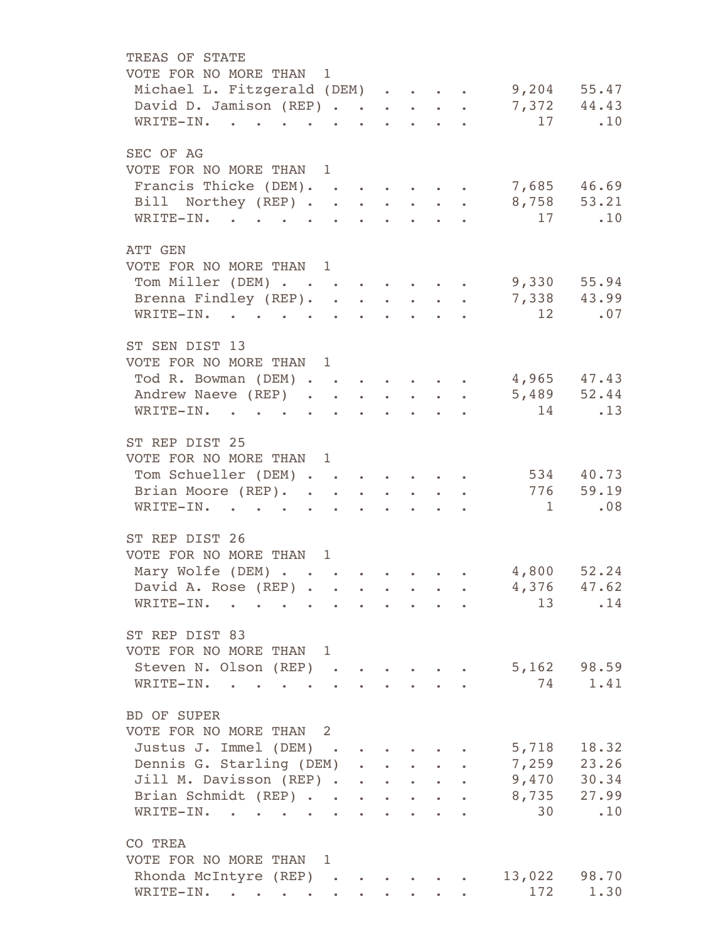| TREAS OF STATE                                                                                                                                                                                                                                                                                                                                                                                                                                                                                                                                                                                                                                                                                                                                                                                                                                                                                                                                                                                                                  |                                                                                                                       |  |                             |        |                                       |           |
|---------------------------------------------------------------------------------------------------------------------------------------------------------------------------------------------------------------------------------------------------------------------------------------------------------------------------------------------------------------------------------------------------------------------------------------------------------------------------------------------------------------------------------------------------------------------------------------------------------------------------------------------------------------------------------------------------------------------------------------------------------------------------------------------------------------------------------------------------------------------------------------------------------------------------------------------------------------------------------------------------------------------------------|-----------------------------------------------------------------------------------------------------------------------|--|-----------------------------|--------|---------------------------------------|-----------|
|                                                                                                                                                                                                                                                                                                                                                                                                                                                                                                                                                                                                                                                                                                                                                                                                                                                                                                                                                                                                                                 |                                                                                                                       |  |                             |        |                                       |           |
|                                                                                                                                                                                                                                                                                                                                                                                                                                                                                                                                                                                                                                                                                                                                                                                                                                                                                                                                                                                                                                 |                                                                                                                       |  |                             |        |                                       |           |
|                                                                                                                                                                                                                                                                                                                                                                                                                                                                                                                                                                                                                                                                                                                                                                                                                                                                                                                                                                                                                                 |                                                                                                                       |  |                             |        |                                       |           |
| VOTE FOR NO MORE THAN 1<br>Michael L. Fitzgerald (DEM) 9,204 55.47<br>David D. Jamison (REP) 7,372 44.43<br>WRITE-IN.<br>SEC OF AG<br>VOTE FOR NO MORE THAN 1<br>Francis Thicke (DEM).<br>Bill Northey (REP) 8,758 53.21<br>WRITE-IN.<br>ATT GEN<br>VOTE FOR NO MORE THAN 1<br>Tom Miller (DEM) 9,330 55.94<br>Brenna Findley (REP). 7,338 43.99<br>WRITE-IN.<br>ST SEN DIST 13<br>VOTE FOR NO MORE THAN 1<br>Tod R. Bowman (DEM)<br>Andrew Naeve (REP) 5,489 52.44<br>WRITE-IN.<br>ST REP DIST 25<br>VOTE FOR NO MORE THAN 1<br>Tom Schueller (DEM)<br>Brian Moore (REP).<br>WRITE-IN.<br>ST REP DIST 26<br>VOTE FOR NO MORE THAN 1<br>Mary Wolfe (DEM) 4,800 52.24<br>David A. Rose (REP)<br>WRITE-IN.<br>and the state of the state of<br>ST REP DIST 83<br>VOTE FOR NO MORE THAN 1<br>Steven N. Olson (REP)<br>WRITE-IN.<br>BD OF SUPER<br>VOTE FOR NO MORE THAN 2<br>Justus J. Immel (DEM)<br>Dennis G. Starling (DEM)<br>Jill M. Davisson (REP)<br>Brian Schmidt (REP)<br>WRITE-IN.<br>CO TREA<br>VOTE FOR NO MORE THAN 1 | $\mathbf{r}^{\prime}$ , $\mathbf{r}^{\prime}$ , $\mathbf{r}^{\prime}$ , $\mathbf{r}^{\prime}$ , $\mathbf{r}^{\prime}$ |  |                             | 17 .10 |                                       |           |
|                                                                                                                                                                                                                                                                                                                                                                                                                                                                                                                                                                                                                                                                                                                                                                                                                                                                                                                                                                                                                                 |                                                                                                                       |  |                             |        |                                       |           |
|                                                                                                                                                                                                                                                                                                                                                                                                                                                                                                                                                                                                                                                                                                                                                                                                                                                                                                                                                                                                                                 |                                                                                                                       |  |                             |        |                                       |           |
|                                                                                                                                                                                                                                                                                                                                                                                                                                                                                                                                                                                                                                                                                                                                                                                                                                                                                                                                                                                                                                 |                                                                                                                       |  |                             |        | 7,685 46.69                           |           |
|                                                                                                                                                                                                                                                                                                                                                                                                                                                                                                                                                                                                                                                                                                                                                                                                                                                                                                                                                                                                                                 |                                                                                                                       |  |                             |        |                                       |           |
|                                                                                                                                                                                                                                                                                                                                                                                                                                                                                                                                                                                                                                                                                                                                                                                                                                                                                                                                                                                                                                 |                                                                                                                       |  |                             |        | 17 .10                                |           |
|                                                                                                                                                                                                                                                                                                                                                                                                                                                                                                                                                                                                                                                                                                                                                                                                                                                                                                                                                                                                                                 |                                                                                                                       |  |                             |        |                                       |           |
|                                                                                                                                                                                                                                                                                                                                                                                                                                                                                                                                                                                                                                                                                                                                                                                                                                                                                                                                                                                                                                 |                                                                                                                       |  |                             |        |                                       |           |
|                                                                                                                                                                                                                                                                                                                                                                                                                                                                                                                                                                                                                                                                                                                                                                                                                                                                                                                                                                                                                                 |                                                                                                                       |  |                             |        |                                       |           |
|                                                                                                                                                                                                                                                                                                                                                                                                                                                                                                                                                                                                                                                                                                                                                                                                                                                                                                                                                                                                                                 |                                                                                                                       |  |                             |        |                                       |           |
|                                                                                                                                                                                                                                                                                                                                                                                                                                                                                                                                                                                                                                                                                                                                                                                                                                                                                                                                                                                                                                 |                                                                                                                       |  |                             |        | 12 .07                                |           |
|                                                                                                                                                                                                                                                                                                                                                                                                                                                                                                                                                                                                                                                                                                                                                                                                                                                                                                                                                                                                                                 |                                                                                                                       |  |                             |        |                                       |           |
|                                                                                                                                                                                                                                                                                                                                                                                                                                                                                                                                                                                                                                                                                                                                                                                                                                                                                                                                                                                                                                 |                                                                                                                       |  |                             |        |                                       |           |
|                                                                                                                                                                                                                                                                                                                                                                                                                                                                                                                                                                                                                                                                                                                                                                                                                                                                                                                                                                                                                                 |                                                                                                                       |  |                             |        |                                       |           |
|                                                                                                                                                                                                                                                                                                                                                                                                                                                                                                                                                                                                                                                                                                                                                                                                                                                                                                                                                                                                                                 |                                                                                                                       |  |                             |        | 4,965 47.43                           |           |
|                                                                                                                                                                                                                                                                                                                                                                                                                                                                                                                                                                                                                                                                                                                                                                                                                                                                                                                                                                                                                                 |                                                                                                                       |  |                             |        |                                       |           |
|                                                                                                                                                                                                                                                                                                                                                                                                                                                                                                                                                                                                                                                                                                                                                                                                                                                                                                                                                                                                                                 |                                                                                                                       |  |                             |        | 14                                    | .13       |
|                                                                                                                                                                                                                                                                                                                                                                                                                                                                                                                                                                                                                                                                                                                                                                                                                                                                                                                                                                                                                                 |                                                                                                                       |  |                             |        |                                       |           |
|                                                                                                                                                                                                                                                                                                                                                                                                                                                                                                                                                                                                                                                                                                                                                                                                                                                                                                                                                                                                                                 |                                                                                                                       |  |                             |        |                                       |           |
|                                                                                                                                                                                                                                                                                                                                                                                                                                                                                                                                                                                                                                                                                                                                                                                                                                                                                                                                                                                                                                 |                                                                                                                       |  |                             |        | 534 40.73                             |           |
|                                                                                                                                                                                                                                                                                                                                                                                                                                                                                                                                                                                                                                                                                                                                                                                                                                                                                                                                                                                                                                 |                                                                                                                       |  |                             |        |                                       | 776 59.19 |
|                                                                                                                                                                                                                                                                                                                                                                                                                                                                                                                                                                                                                                                                                                                                                                                                                                                                                                                                                                                                                                 |                                                                                                                       |  | $\sim$ $\sim$ $\sim$ $\sim$ |        |                                       | 1 .08     |
|                                                                                                                                                                                                                                                                                                                                                                                                                                                                                                                                                                                                                                                                                                                                                                                                                                                                                                                                                                                                                                 |                                                                                                                       |  |                             |        |                                       |           |
|                                                                                                                                                                                                                                                                                                                                                                                                                                                                                                                                                                                                                                                                                                                                                                                                                                                                                                                                                                                                                                 |                                                                                                                       |  |                             |        |                                       |           |
|                                                                                                                                                                                                                                                                                                                                                                                                                                                                                                                                                                                                                                                                                                                                                                                                                                                                                                                                                                                                                                 |                                                                                                                       |  |                             |        |                                       |           |
|                                                                                                                                                                                                                                                                                                                                                                                                                                                                                                                                                                                                                                                                                                                                                                                                                                                                                                                                                                                                                                 |                                                                                                                       |  |                             |        |                                       |           |
|                                                                                                                                                                                                                                                                                                                                                                                                                                                                                                                                                                                                                                                                                                                                                                                                                                                                                                                                                                                                                                 |                                                                                                                       |  |                             |        | $\cdot \cdot \cdot \cdot$ 4,376 47.62 |           |
|                                                                                                                                                                                                                                                                                                                                                                                                                                                                                                                                                                                                                                                                                                                                                                                                                                                                                                                                                                                                                                 |                                                                                                                       |  |                             |        | 13                                    | .14       |
|                                                                                                                                                                                                                                                                                                                                                                                                                                                                                                                                                                                                                                                                                                                                                                                                                                                                                                                                                                                                                                 |                                                                                                                       |  |                             |        |                                       |           |
|                                                                                                                                                                                                                                                                                                                                                                                                                                                                                                                                                                                                                                                                                                                                                                                                                                                                                                                                                                                                                                 |                                                                                                                       |  |                             |        |                                       |           |
|                                                                                                                                                                                                                                                                                                                                                                                                                                                                                                                                                                                                                                                                                                                                                                                                                                                                                                                                                                                                                                 |                                                                                                                       |  |                             |        | 5,162 98.59                           |           |
|                                                                                                                                                                                                                                                                                                                                                                                                                                                                                                                                                                                                                                                                                                                                                                                                                                                                                                                                                                                                                                 |                                                                                                                       |  |                             |        | 74                                    | 1.41      |
|                                                                                                                                                                                                                                                                                                                                                                                                                                                                                                                                                                                                                                                                                                                                                                                                                                                                                                                                                                                                                                 |                                                                                                                       |  |                             |        |                                       |           |
|                                                                                                                                                                                                                                                                                                                                                                                                                                                                                                                                                                                                                                                                                                                                                                                                                                                                                                                                                                                                                                 |                                                                                                                       |  |                             |        |                                       |           |
|                                                                                                                                                                                                                                                                                                                                                                                                                                                                                                                                                                                                                                                                                                                                                                                                                                                                                                                                                                                                                                 |                                                                                                                       |  |                             |        | 5,718                                 | 18.32     |
|                                                                                                                                                                                                                                                                                                                                                                                                                                                                                                                                                                                                                                                                                                                                                                                                                                                                                                                                                                                                                                 |                                                                                                                       |  |                             |        | 7,259 23.26                           |           |
|                                                                                                                                                                                                                                                                                                                                                                                                                                                                                                                                                                                                                                                                                                                                                                                                                                                                                                                                                                                                                                 |                                                                                                                       |  |                             |        | 9,470                                 | 30.34     |
|                                                                                                                                                                                                                                                                                                                                                                                                                                                                                                                                                                                                                                                                                                                                                                                                                                                                                                                                                                                                                                 |                                                                                                                       |  |                             |        | 8,735                                 | 27.99     |
|                                                                                                                                                                                                                                                                                                                                                                                                                                                                                                                                                                                                                                                                                                                                                                                                                                                                                                                                                                                                                                 |                                                                                                                       |  |                             |        | 30                                    | .10       |
|                                                                                                                                                                                                                                                                                                                                                                                                                                                                                                                                                                                                                                                                                                                                                                                                                                                                                                                                                                                                                                 |                                                                                                                       |  |                             |        |                                       |           |
|                                                                                                                                                                                                                                                                                                                                                                                                                                                                                                                                                                                                                                                                                                                                                                                                                                                                                                                                                                                                                                 |                                                                                                                       |  |                             |        |                                       |           |
|                                                                                                                                                                                                                                                                                                                                                                                                                                                                                                                                                                                                                                                                                                                                                                                                                                                                                                                                                                                                                                 |                                                                                                                       |  |                             |        |                                       |           |
| Rhonda McIntyre (REP)                                                                                                                                                                                                                                                                                                                                                                                                                                                                                                                                                                                                                                                                                                                                                                                                                                                                                                                                                                                                           |                                                                                                                       |  |                             |        | 13,022                                | 98.70     |
| WRITE-IN. .                                                                                                                                                                                                                                                                                                                                                                                                                                                                                                                                                                                                                                                                                                                                                                                                                                                                                                                                                                                                                     |                                                                                                                       |  |                             |        | 172                                   | 1.30      |
|                                                                                                                                                                                                                                                                                                                                                                                                                                                                                                                                                                                                                                                                                                                                                                                                                                                                                                                                                                                                                                 |                                                                                                                       |  |                             |        |                                       |           |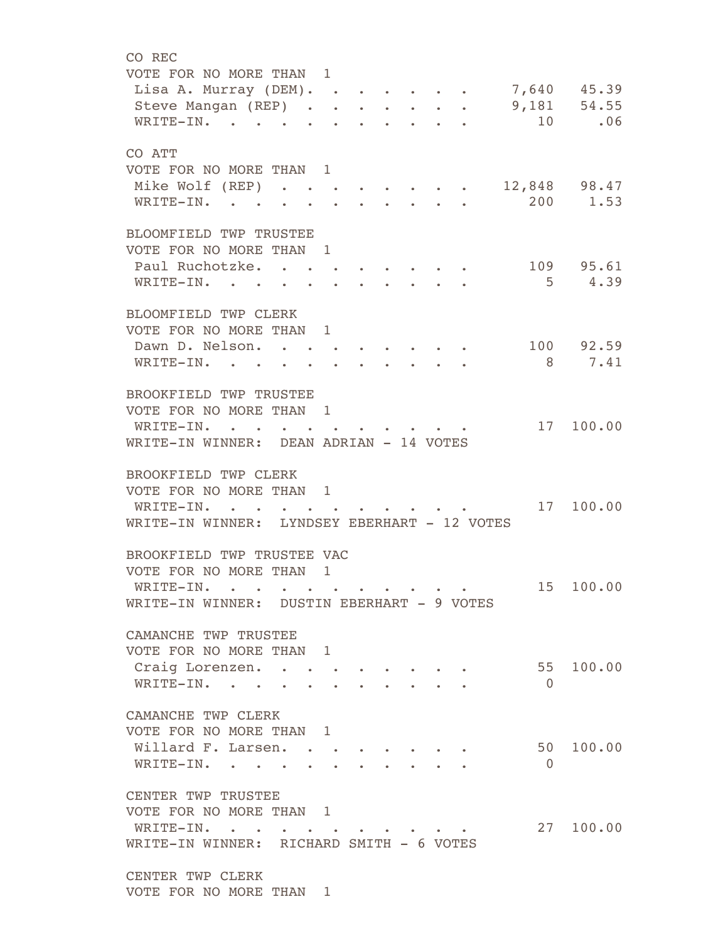CO REC VOTE FOR NO MORE THAN 1 Lisa A. Murray (DEM). . . . . . . 7,640 45.39 Steve Mangan (REP) . . . . . . . 9,181 54.55 WRITE-IN. . . . . . . . . . . . 10 .06 CO ATT VOTE FOR NO MORE THAN 1 Mike Wolf (REP) . . . . . . . . 12,848 98.47 WRITE-IN. . . . . . . . . . . 200 1.53 BLOOMFIELD TWP TRUSTEE VOTE FOR NO MORE THAN 1 Paul Ruchotzke. . . . . . . . . 109 95.61 WRITE-IN. . . . . . . . . . . . 5 4.39 BLOOMFIELD TWP CLERK VOTE FOR NO MORE THAN 1 Dawn D. Nelson. . . . . . . . . 100 92.59 WRITE-IN. . . . . . . . . . . . 8 7.41 BROOKFIELD TWP TRUSTEE VOTE FOR NO MORE THAN 1 WRITE-IN. . . . . . . . . . . 17 100.00 WRITE-IN WINNER: DEAN ADRIAN - 14 VOTES BROOKFIELD TWP CLERK VOTE FOR NO MORE THAN 1 WRITE-IN. . . . . . . . . . . 17 100.00 WRITE-IN WINNER: LYNDSEY EBERHART - 12 VOTES BROOKFIELD TWP TRUSTEE VAC VOTE FOR NO MORE THAN 1 WRITE-IN. . . . . . . . . . . 15 100.00 WRITE-IN WINNER: DUSTIN EBERHART - 9 VOTES CAMANCHE TWP TRUSTEE VOTE FOR NO MORE THAN 1 Craig Lorenzen. . . . . . . . . 55 100.00 WRITE-IN. . . . . . . . . . . 0 CAMANCHE TWP CLERK VOTE FOR NO MORE THAN 1 Willard F. Larsen. . . . . . . . 50 100.00 WRITE-IN. . . . . . . . . . . 0 CENTER TWP TRUSTEE VOTE FOR NO MORE THAN 1 WRITE-IN. . . . . . . . . . . 27 100.00 WRITE-IN WINNER: RICHARD SMITH - 6 VOTES CENTER TWP CLERK VOTE FOR NO MORE THAN 1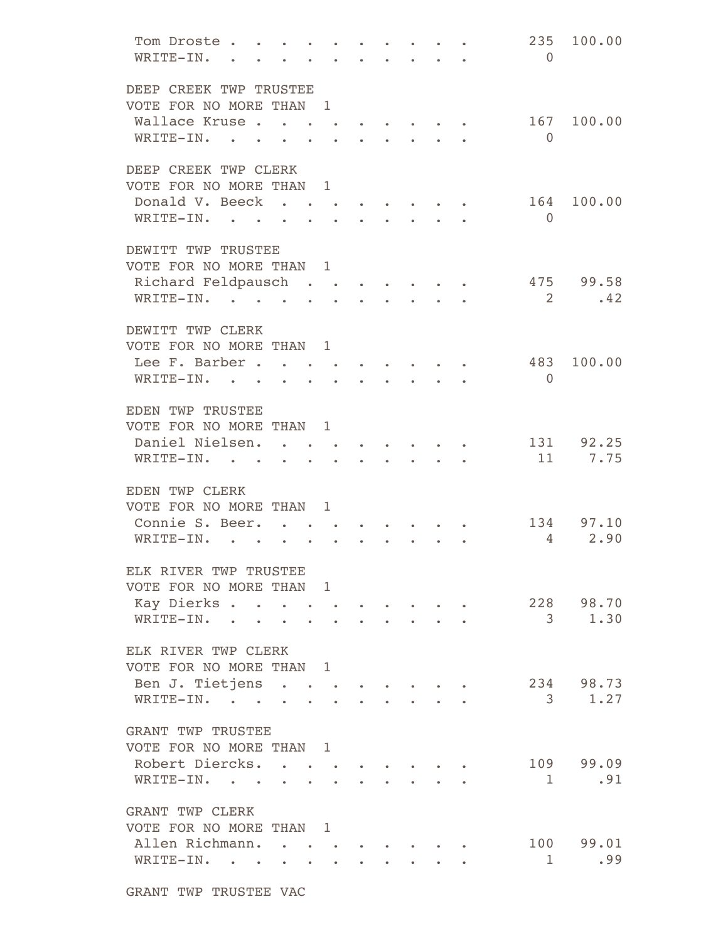| Tom Droste .<br>WRITE-IN. |                                                                                                                                                                   | $\begin{array}{cccccccccccccc} \bullet & \bullet & \bullet & \bullet & \bullet & \bullet & \bullet & \bullet & \bullet & \bullet \end{array}$ |                                                 |  | 235<br>$\bigcirc$       | 100.00                 |
|---------------------------|-------------------------------------------------------------------------------------------------------------------------------------------------------------------|-----------------------------------------------------------------------------------------------------------------------------------------------|-------------------------------------------------|--|-------------------------|------------------------|
| DEEP CREEK TWP TRUSTEE    |                                                                                                                                                                   |                                                                                                                                               |                                                 |  |                         |                        |
| VOTE FOR NO MORE THAN 1   |                                                                                                                                                                   |                                                                                                                                               |                                                 |  |                         |                        |
| Wallace Kruse             |                                                                                                                                                                   |                                                                                                                                               |                                                 |  | 167                     | 100.00                 |
| WRITE-IN.                 | and the state of the state of the state of the state of the state of the state of the state of the state of the                                                   |                                                                                                                                               |                                                 |  | $\Omega$                |                        |
| DEEP CREEK TWP CLERK      |                                                                                                                                                                   |                                                                                                                                               |                                                 |  |                         |                        |
| VOTE FOR NO MORE THAN 1   |                                                                                                                                                                   |                                                                                                                                               |                                                 |  |                         |                        |
| Donald V. Beeck           |                                                                                                                                                                   |                                                                                                                                               |                                                 |  | 164                     | 100.00                 |
| WRITE-IN.                 |                                                                                                                                                                   |                                                                                                                                               | the contract of the contract of the contract of |  | $\overline{0}$          |                        |
| DEWITT TWP TRUSTEE        |                                                                                                                                                                   |                                                                                                                                               |                                                 |  |                         |                        |
| VOTE FOR NO MORE THAN 1   |                                                                                                                                                                   |                                                                                                                                               |                                                 |  |                         |                        |
| Richard Feldpausch        |                                                                                                                                                                   |                                                                                                                                               |                                                 |  |                         | 475 99.58              |
| WRITE-IN.                 |                                                                                                                                                                   |                                                                                                                                               |                                                 |  | $\overline{2}$          | .42                    |
| DEWITT TWP CLERK          |                                                                                                                                                                   |                                                                                                                                               |                                                 |  |                         |                        |
| VOTE FOR NO MORE THAN 1   |                                                                                                                                                                   |                                                                                                                                               |                                                 |  |                         |                        |
| Lee F. Barber             |                                                                                                                                                                   |                                                                                                                                               |                                                 |  | 483                     | 100.00                 |
| WRITE-IN.                 |                                                                                                                                                                   |                                                                                                                                               |                                                 |  | $\overline{0}$          |                        |
| EDEN TWP TRUSTEE          |                                                                                                                                                                   |                                                                                                                                               |                                                 |  |                         |                        |
| VOTE FOR NO MORE THAN 1   |                                                                                                                                                                   |                                                                                                                                               |                                                 |  |                         |                        |
| Daniel Nielsen.           |                                                                                                                                                                   |                                                                                                                                               |                                                 |  |                         | 131 92.25              |
| WRITE-IN.                 |                                                                                                                                                                   |                                                                                                                                               |                                                 |  |                         | 11 7.75                |
|                           |                                                                                                                                                                   |                                                                                                                                               |                                                 |  |                         |                        |
| EDEN TWP CLERK            |                                                                                                                                                                   |                                                                                                                                               |                                                 |  |                         |                        |
| VOTE FOR NO MORE THAN 1   |                                                                                                                                                                   |                                                                                                                                               |                                                 |  |                         |                        |
| Connie S. Beer.           |                                                                                                                                                                   |                                                                                                                                               |                                                 |  |                         | 134 97.10              |
| WRITE-IN.                 |                                                                                                                                                                   |                                                                                                                                               |                                                 |  |                         | 2.90<br>$\overline{4}$ |
| ELK RIVER TWP TRUSTEE     |                                                                                                                                                                   |                                                                                                                                               |                                                 |  |                         |                        |
| VOTE FOR NO MORE THAN 1   |                                                                                                                                                                   |                                                                                                                                               |                                                 |  |                         |                        |
| Kay Dierks                | $\begin{array}{cccccccccccccc} \bullet & \bullet & \bullet & \bullet & \bullet & \bullet & \bullet & \bullet & \bullet & \bullet & \bullet & \bullet \end{array}$ |                                                                                                                                               |                                                 |  |                         | 228 98.70              |
| WRITE-IN. .               |                                                                                                                                                                   |                                                                                                                                               |                                                 |  |                         | $3 \t 1.30$            |
|                           |                                                                                                                                                                   |                                                                                                                                               |                                                 |  |                         |                        |
| ELK RIVER TWP CLERK       |                                                                                                                                                                   |                                                                                                                                               |                                                 |  |                         |                        |
| VOTE FOR NO MORE THAN 1   |                                                                                                                                                                   |                                                                                                                                               |                                                 |  |                         |                        |
| Ben J. Tietjens.          | $\mathcal{L}^{\text{max}}$ , where $\mathcal{L}^{\text{max}}$ , and                                                                                               |                                                                                                                                               |                                                 |  |                         | 234 98.73              |
| WRITE-IN.                 |                                                                                                                                                                   |                                                                                                                                               |                                                 |  | $\overline{\mathbf{3}}$ | 1.27                   |
| <b>GRANT TWP TRUSTEE</b>  |                                                                                                                                                                   |                                                                                                                                               |                                                 |  |                         |                        |
| VOTE FOR NO MORE THAN 1   |                                                                                                                                                                   |                                                                                                                                               |                                                 |  |                         |                        |
| Robert Diercks.           |                                                                                                                                                                   |                                                                                                                                               |                                                 |  |                         | 109 99.09              |
| WRITE-IN.                 |                                                                                                                                                                   |                                                                                                                                               |                                                 |  | 1                       | .91                    |
| GRANT TWP CLERK           |                                                                                                                                                                   |                                                                                                                                               |                                                 |  |                         |                        |
| VOTE FOR NO MORE THAN 1   |                                                                                                                                                                   |                                                                                                                                               |                                                 |  |                         |                        |
| Allen Richmann. .         | $\begin{array}{cccccccccccccc} \bullet & \bullet & \bullet & \bullet & \bullet & \bullet & \bullet & \bullet \end{array}$                                         |                                                                                                                                               |                                                 |  |                         | 100 99.01              |
| WRITE-IN.                 |                                                                                                                                                                   |                                                                                                                                               |                                                 |  | $\sim$ 1                | .99                    |
|                           |                                                                                                                                                                   |                                                                                                                                               |                                                 |  |                         |                        |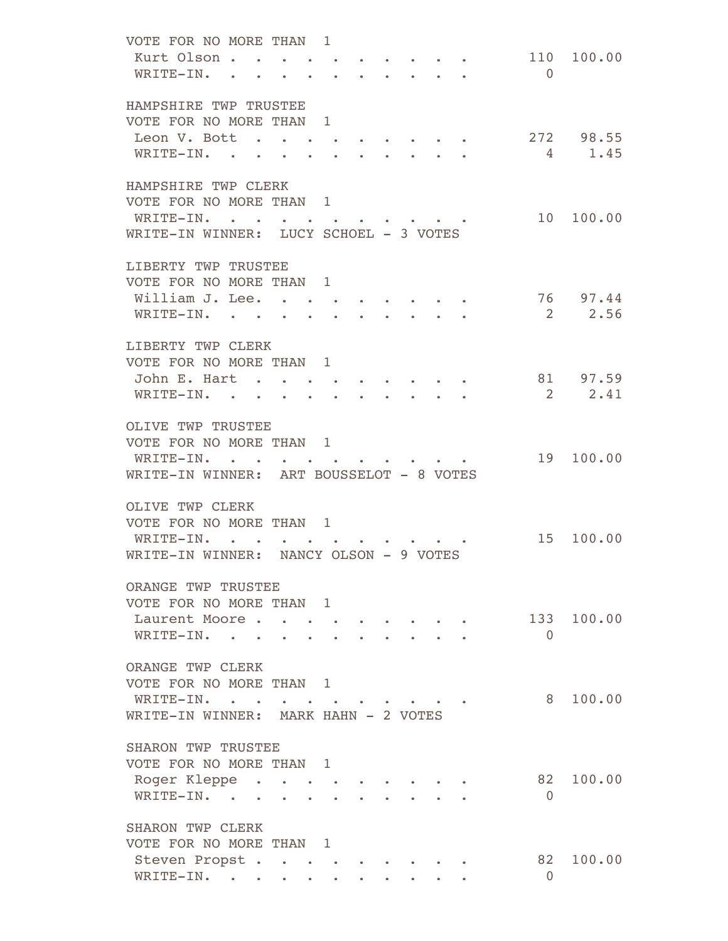| VOTE FOR NO MORE THAN 1                     |                                                                                                                 |                                                             |  |                           |                            |            |
|---------------------------------------------|-----------------------------------------------------------------------------------------------------------------|-------------------------------------------------------------|--|---------------------------|----------------------------|------------|
| Kurt Olson.                                 |                                                                                                                 |                                                             |  |                           | 110                        | 100.00     |
| WRITE-IN.                                   |                                                                                                                 |                                                             |  | <b>All Card Contracts</b> | $\bigcirc$                 |            |
|                                             |                                                                                                                 |                                                             |  |                           |                            |            |
|                                             |                                                                                                                 |                                                             |  |                           |                            |            |
| HAMPSHIRE TWP TRUSTEE                       |                                                                                                                 |                                                             |  |                           |                            |            |
| VOTE FOR NO MORE THAN 1                     |                                                                                                                 |                                                             |  |                           |                            |            |
| Leon V. Bott                                | the contract of the contract of the contract of the contract of the contract of the contract of the contract of |                                                             |  |                           |                            | 272 98.55  |
| WRITE-IN. .                                 |                                                                                                                 |                                                             |  |                           | $\overline{4}$             | 1.45       |
|                                             |                                                                                                                 |                                                             |  |                           |                            |            |
| HAMPSHIRE TWP CLERK                         |                                                                                                                 |                                                             |  |                           |                            |            |
|                                             |                                                                                                                 |                                                             |  |                           |                            |            |
| VOTE FOR NO MORE THAN 1                     |                                                                                                                 |                                                             |  |                           |                            |            |
| WRITE-IN.                                   |                                                                                                                 |                                                             |  |                           | 10                         | 100.00     |
| WRITE-IN WINNER: LUCY SCHOEL - 3 VOTES      |                                                                                                                 |                                                             |  |                           |                            |            |
|                                             |                                                                                                                 |                                                             |  |                           |                            |            |
| LIBERTY TWP TRUSTEE                         |                                                                                                                 |                                                             |  |                           |                            |            |
| VOTE FOR NO MORE THAN 1                     |                                                                                                                 |                                                             |  |                           |                            |            |
| William J. Lee. .                           |                                                                                                                 |                                                             |  |                           |                            | 76 97.44   |
|                                             |                                                                                                                 |                                                             |  |                           |                            |            |
| WRITE-IN.                                   |                                                                                                                 |                                                             |  |                           | <sup>2</sup>               | 2.56       |
|                                             |                                                                                                                 |                                                             |  |                           |                            |            |
| LIBERTY TWP CLERK                           |                                                                                                                 |                                                             |  |                           |                            |            |
| VOTE FOR NO MORE THAN 1                     |                                                                                                                 |                                                             |  |                           |                            |            |
| John E. Hart                                | $\sim$ 100 $\pm$                                                                                                |                                                             |  |                           |                            | 81 97.59   |
|                                             |                                                                                                                 |                                                             |  |                           | $\overline{\phantom{0}}^2$ | 2.41       |
| WRITE-IN.<br>$\sim$ $\sim$ $\sim$ $\sim$    |                                                                                                                 |                                                             |  |                           |                            |            |
|                                             |                                                                                                                 |                                                             |  |                           |                            |            |
| OLIVE TWP TRUSTEE                           |                                                                                                                 |                                                             |  |                           |                            |            |
| VOTE FOR NO MORE THAN 1                     |                                                                                                                 |                                                             |  |                           |                            |            |
| $WRTTE-IN.$                                 |                                                                                                                 |                                                             |  |                           | 19                         | 100.00     |
| WRITE-IN WINNER: ART BOUSSELOT - 8 VOTES    |                                                                                                                 |                                                             |  |                           |                            |            |
|                                             |                                                                                                                 |                                                             |  |                           |                            |            |
|                                             |                                                                                                                 |                                                             |  |                           |                            |            |
| OLIVE TWP CLERK                             |                                                                                                                 |                                                             |  |                           |                            |            |
| VOTE FOR NO MORE THAN 1                     |                                                                                                                 |                                                             |  |                           |                            |            |
| WRITE-IN.<br><b><i>Committee States</i></b> |                                                                                                                 |                                                             |  |                           | 15                         | 100.00     |
| WRITE-IN WINNER: NANCY OLSON - 9 VOTES      |                                                                                                                 |                                                             |  |                           |                            |            |
|                                             |                                                                                                                 |                                                             |  |                           |                            |            |
| ORANGE TWP TRUSTEE                          |                                                                                                                 |                                                             |  |                           |                            |            |
|                                             |                                                                                                                 |                                                             |  |                           |                            |            |
| VOTE FOR NO MORE THAN 1                     |                                                                                                                 |                                                             |  |                           |                            |            |
| Laurent Moore                               |                                                                                                                 |                                                             |  |                           |                            | 133 100.00 |
| WRITE-IN.                                   |                                                                                                                 |                                                             |  |                           | $\bigcirc$                 |            |
|                                             |                                                                                                                 |                                                             |  |                           |                            |            |
| ORANGE TWP CLERK                            |                                                                                                                 |                                                             |  |                           |                            |            |
| VOTE FOR NO MORE THAN 1                     |                                                                                                                 |                                                             |  |                           |                            |            |
|                                             |                                                                                                                 |                                                             |  |                           |                            |            |
| WRITE-IN.                                   |                                                                                                                 |                                                             |  |                           | 8                          | 100.00     |
| WRITE-IN WINNER: MARK HAHN - 2 VOTES        |                                                                                                                 |                                                             |  |                           |                            |            |
|                                             |                                                                                                                 |                                                             |  |                           |                            |            |
| SHARON TWP TRUSTEE                          |                                                                                                                 |                                                             |  |                           |                            |            |
| VOTE FOR NO MORE THAN 1                     |                                                                                                                 |                                                             |  |                           |                            |            |
| Roger Kleppe                                |                                                                                                                 | $\bullet$                                                   |  |                           | 82                         | 100.00     |
| WRITE-IN.                                   |                                                                                                                 |                                                             |  |                           | $\Omega$                   |            |
|                                             |                                                                                                                 |                                                             |  |                           |                            |            |
|                                             |                                                                                                                 |                                                             |  |                           |                            |            |
| SHARON TWP CLERK                            |                                                                                                                 |                                                             |  |                           |                            |            |
| VOTE FOR NO MORE THAN 1                     |                                                                                                                 |                                                             |  |                           |                            |            |
| Steven Propst.                              |                                                                                                                 |                                                             |  |                           | 82                         | 100.00     |
| WRITE-IN.                                   |                                                                                                                 | $\bullet$ .<br><br><br><br><br><br><br><br><br><br><br><br> |  | $\bullet$ . $\bullet$     | $\overline{0}$             |            |
|                                             |                                                                                                                 |                                                             |  |                           |                            |            |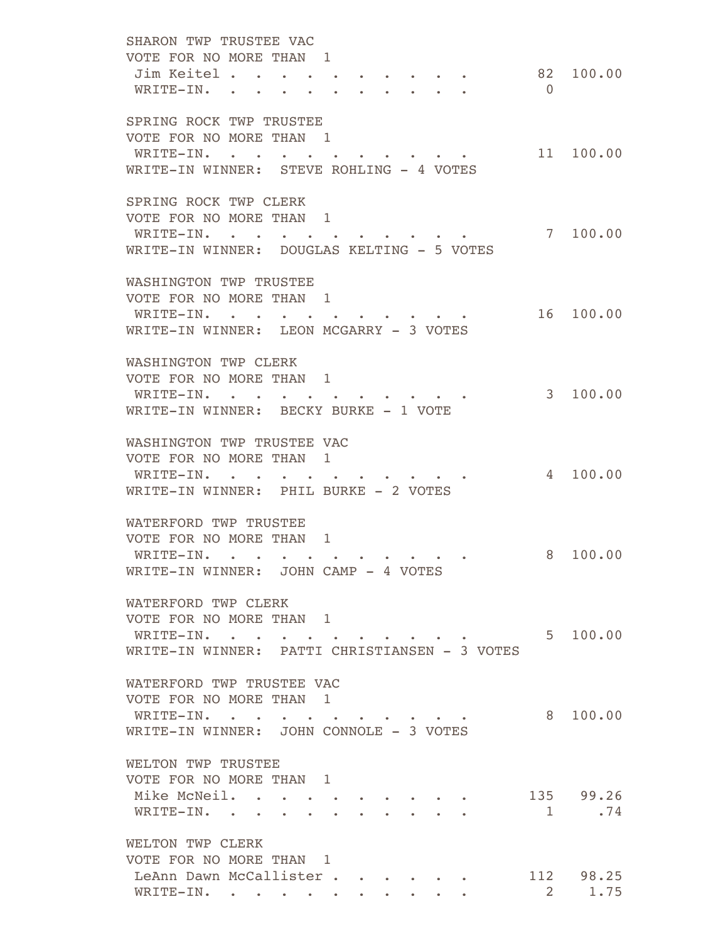SHARON TWP TRUSTEE VAC VOTE FOR NO MORE THAN 1 Jim Keitel . . . . . . . . . . 82 100.00 WRITE-IN. . . . . . . . . . . 0 SPRING ROCK TWP TRUSTEE VOTE FOR NO MORE THAN 1 WRITE-IN. . . . . . . . . . . 11 100.00 WRITE-IN WINNER: STEVE ROHLING - 4 VOTES SPRING ROCK TWP CLERK VOTE FOR NO MORE THAN 1 WRITE-IN. . . . . . . . . . . . 7 100.00 WRITE-IN WINNER: DOUGLAS KELTING - 5 VOTES WASHINGTON TWP TRUSTEE VOTE FOR NO MORE THAN 1 WRITE-IN. . . . . . . . . . . 16 100.00 WRITE-IN WINNER: LEON MCGARRY - 3 VOTES WASHINGTON TWP CLERK VOTE FOR NO MORE THAN 1 WRITE-IN. . . . . . . . . . . 3 100.00 WRITE-IN WINNER: BECKY BURKE - 1 VOTE WASHINGTON TWP TRUSTEE VAC VOTE FOR NO MORE THAN 1 WRITE-IN. . . . . . . . . . . . 4 100.00 WRITE-IN WINNER: PHIL BURKE - 2 VOTES WATERFORD TWP TRUSTEE VOTE FOR NO MORE THAN 1 WRITE-IN. . . . . . . . . . . . 8 100.00 WRITE-IN WINNER: JOHN CAMP - 4 VOTES WATERFORD TWP CLERK VOTE FOR NO MORE THAN 1 WRITE-IN. . . . . . . . . . . . 5 100.00 WRITE-IN WINNER: PATTI CHRISTIANSEN - 3 VOTES WATERFORD TWP TRUSTEE VAC VOTE FOR NO MORE THAN 1 WRITE-IN. . . . . . . . . . . 8 100.00 WRITE-IN WINNER: JOHN CONNOLE - 3 VOTES WELTON TWP TRUSTEE VOTE FOR NO MORE THAN 1 Mike McNeil. . . . . . . . . . . 135 99.26 WRITE-IN. . . . . . . . . . .  $1 \t374$  WELTON TWP CLERK VOTE FOR NO MORE THAN 1 LeAnn Dawn McCallister . . . . . . 112 98.25 WRITE-IN. . . . . . . . . . . 2 1.75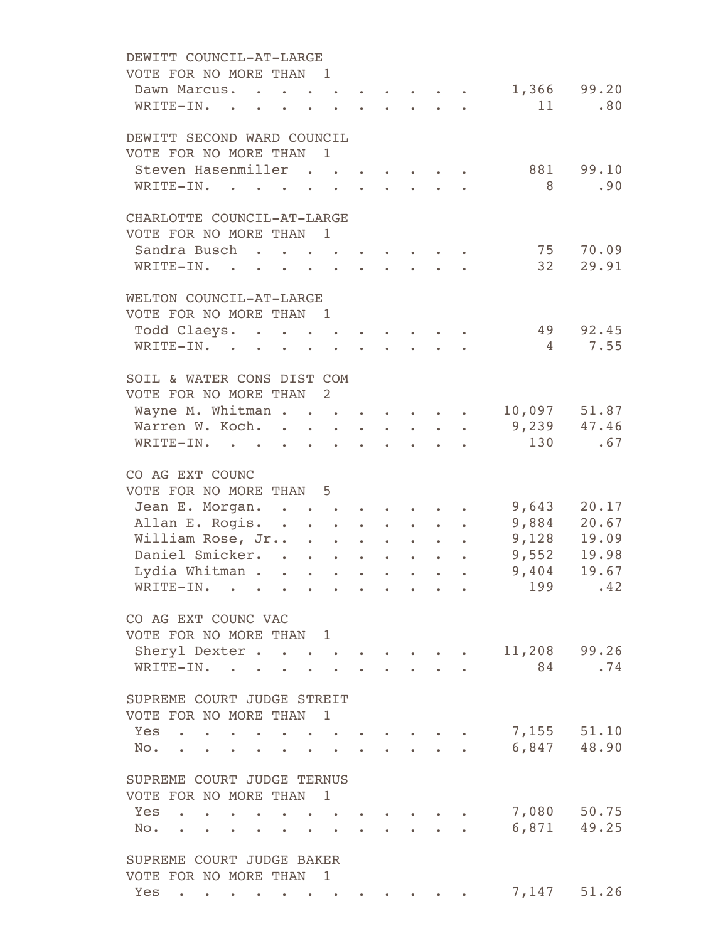| DEWITT COUNCIL-AT-LARGE                                                                                                                                                                                                                                    |                       |
|------------------------------------------------------------------------------------------------------------------------------------------------------------------------------------------------------------------------------------------------------------|-----------------------|
| VOTE FOR NO MORE THAN 1                                                                                                                                                                                                                                    |                       |
| $\cdot \cdot \cdot \cdot \cdot \cdot \cdot \cdot \cdot 1,366$ 99.20<br>Dawn Marcus.<br><b><i>College College College College</i></b>                                                                                                                       |                       |
| WRITE-IN.                                                                                                                                                                                                                                                  | 11<br>.80             |
| DEWITT SECOND WARD COUNCIL                                                                                                                                                                                                                                 |                       |
| VOTE FOR NO MORE THAN<br>$\mathbf{1}$                                                                                                                                                                                                                      |                       |
| Steven Hasenmiller                                                                                                                                                                                                                                         | 881 99.10             |
| WRITE-IN.<br>$\mathbf{r} = \mathbf{r}$<br>and a state of the state of the<br>$\sim 10$                                                                                                                                                                     | 8 <sup>1</sup><br>.90 |
| CHARLOTTE COUNCIL-AT-LARGE                                                                                                                                                                                                                                 |                       |
| VOTE FOR NO MORE THAN 1                                                                                                                                                                                                                                    |                       |
| Sandra Busch                                                                                                                                                                                                                                               | 75 70.09              |
| WRITE-IN.                                                                                                                                                                                                                                                  | 32 29.91              |
| WELTON COUNCIL-AT-LARGE                                                                                                                                                                                                                                    |                       |
| VOTE FOR NO MORE THAN 1                                                                                                                                                                                                                                    |                       |
| Todd Claeys.<br><b><i>Contract Contract Contract Contract Contract Contract Contract Contract Contract Contract Contract Contract Contract Contract Contract Contract Contract Contract Contract Contract Contract Contract Contract Contract Cont</i></b> | 49 92.45              |
| WRITE-IN.                                                                                                                                                                                                                                                  | 4 7.55                |
| SOIL & WATER CONS DIST COM                                                                                                                                                                                                                                 |                       |
| VOTE FOR NO MORE THAN 2                                                                                                                                                                                                                                    |                       |
| Wayne M. Whitman 10,097 51.87                                                                                                                                                                                                                              |                       |
| Warren W. Koch.                                                                                                                                                                                                                                            | 9,239 47.46           |
| WRITE-IN.                                                                                                                                                                                                                                                  | 130<br>.67            |
| CO AG EXT COUNC                                                                                                                                                                                                                                            |                       |
| VOTE FOR NO MORE THAN 5                                                                                                                                                                                                                                    |                       |
| Jean E. Morgan.                                                                                                                                                                                                                                            | $9,643$ 20.17         |
| Allan E. Rogis. 9,884 20.67                                                                                                                                                                                                                                |                       |
| William Rose, Jr 9,128 19.09                                                                                                                                                                                                                               |                       |
| Daniel Smicker.                                                                                                                                                                                                                                            | 9,552 19.98           |
| Lydia Whitman                                                                                                                                                                                                                                              | $9,404$ 19.67         |
| WRITE-IN.<br><b>Contract Contract</b><br>$\sim$ $\sim$                                                                                                                                                                                                     | 199<br>.42            |
| CO AG EXT COUNC VAC                                                                                                                                                                                                                                        |                       |
| VOTE FOR NO MORE THAN 1                                                                                                                                                                                                                                    |                       |
| Sheryl Dexter                                                                                                                                                                                                                                              | 11,208 99.26          |
| WRITE-IN.                                                                                                                                                                                                                                                  | 84 — 10<br>.74        |
| SUPREME COURT JUDGE STREIT                                                                                                                                                                                                                                 |                       |
| VOTE FOR NO MORE THAN<br>$\mathbf{1}$                                                                                                                                                                                                                      |                       |
| Yes<br>and the contract of the contract of<br>$\bullet$ $\bullet$ $\bullet$ $\bullet$                                                                                                                                                                      | 7,155 51.10           |
| $NO.$ $\cdot$ $\cdot$ $\cdot$ $\cdot$ $\cdot$<br>$\sim$ $\sim$<br>$\sim$                                                                                                                                                                                   | 6,847 48.90           |
| SUPREME COURT JUDGE TERNUS                                                                                                                                                                                                                                 |                       |
| VOTE FOR NO MORE THAN<br>$\overline{1}$                                                                                                                                                                                                                    |                       |
| $Yes \t . \t . \t . \t .$                                                                                                                                                                                                                                  | 7,080 50.75           |
| $NO-.$ $.$<br>$\mathcal{L}$                                                                                                                                                                                                                                | $6,871$ 49.25         |
| SUPREME COURT JUDGE BAKER                                                                                                                                                                                                                                  |                       |
| VOTE FOR NO MORE THAN 1                                                                                                                                                                                                                                    |                       |
| Yes<br><b><i>Command Command Command Command Command</i></b><br><b>Contract Contract Contract</b>                                                                                                                                                          | 7,147 51.26           |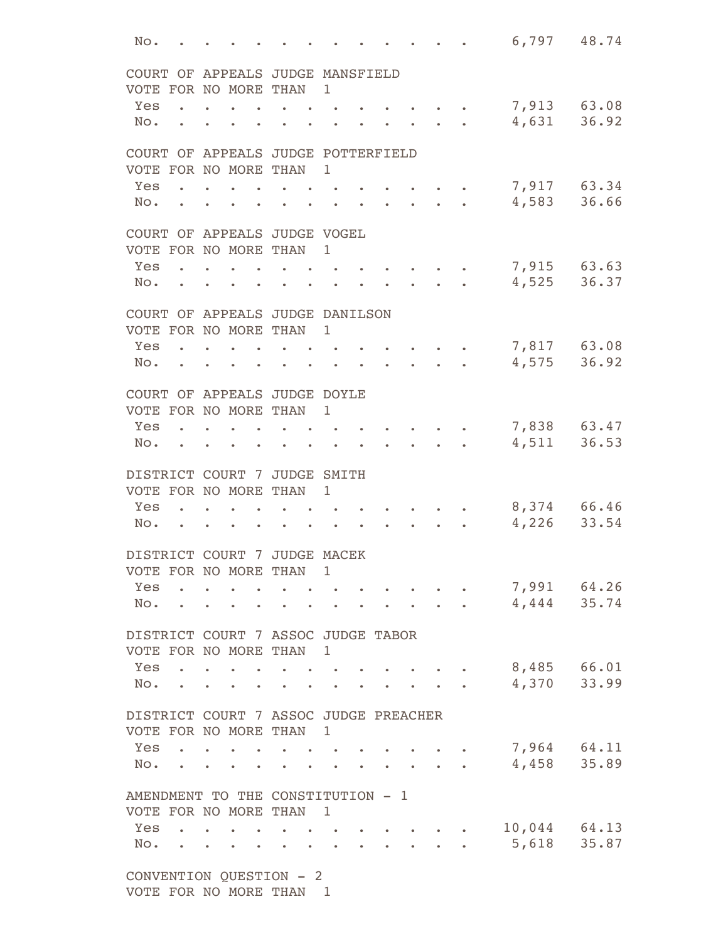| No. |                                 |                                                                                                                                                                                                                                      |                                                                                                                                                                                                                                      |                                   |                          |                                                                                                                                                                                                                                        |  | 6,797 48.74      |       |
|-----|---------------------------------|--------------------------------------------------------------------------------------------------------------------------------------------------------------------------------------------------------------------------------------|--------------------------------------------------------------------------------------------------------------------------------------------------------------------------------------------------------------------------------------|-----------------------------------|--------------------------|----------------------------------------------------------------------------------------------------------------------------------------------------------------------------------------------------------------------------------------|--|------------------|-------|
|     |                                 |                                                                                                                                                                                                                                      | COURT OF APPEALS JUDGE MANSFIELD                                                                                                                                                                                                     |                                   |                          |                                                                                                                                                                                                                                        |  |                  |       |
|     |                                 |                                                                                                                                                                                                                                      | VOTE FOR NO MORE THAN 1                                                                                                                                                                                                              |                                   |                          |                                                                                                                                                                                                                                        |  |                  |       |
| Yes |                                 |                                                                                                                                                                                                                                      |                                                                                                                                                                                                                                      |                                   |                          |                                                                                                                                                                                                                                        |  | 7,913 63.08      |       |
| No. |                                 |                                                                                                                                                                                                                                      |                                                                                                                                                                                                                                      |                                   |                          |                                                                                                                                                                                                                                        |  | 4,631            | 36.92 |
|     |                                 |                                                                                                                                                                                                                                      | COURT OF APPEALS JUDGE POTTERFIELD                                                                                                                                                                                                   |                                   |                          |                                                                                                                                                                                                                                        |  |                  |       |
|     |                                 |                                                                                                                                                                                                                                      | VOTE FOR NO MORE THAN 1                                                                                                                                                                                                              |                                   |                          |                                                                                                                                                                                                                                        |  |                  |       |
| Yes |                                 |                                                                                                                                                                                                                                      |                                                                                                                                                                                                                                      |                                   |                          |                                                                                                                                                                                                                                        |  | 7,917 63.34      |       |
| No. |                                 |                                                                                                                                                                                                                                      | <u>in a comparative contract and the second second and second and second and second and second and second and second and second and second and second and second and second and second and second and second and second and seco</u> |                                   |                          | and the contract of the contract of the contract of the contract of the contract of the contract of the contract of                                                                                                                    |  | 4,583            | 36.66 |
|     |                                 |                                                                                                                                                                                                                                      | COURT OF APPEALS JUDGE VOGEL                                                                                                                                                                                                         |                                   |                          |                                                                                                                                                                                                                                        |  |                  |       |
|     |                                 |                                                                                                                                                                                                                                      | VOTE FOR NO MORE THAN 1                                                                                                                                                                                                              |                                   |                          |                                                                                                                                                                                                                                        |  |                  |       |
| Yes |                                 |                                                                                                                                                                                                                                      |                                                                                                                                                                                                                                      |                                   |                          |                                                                                                                                                                                                                                        |  | 7,915 63.63      |       |
| No. |                                 |                                                                                                                                                                                                                                      | <u>in the second contract of the second second and second the second second and second second and second second second and second and second and second and second and second and second and second and second and second and se</u> |                                   |                          | $\sim$ $\sim$ $\sim$                                                                                                                                                                                                                   |  | 4,525            | 36.37 |
|     |                                 |                                                                                                                                                                                                                                      | COURT OF APPEALS JUDGE DANILSON                                                                                                                                                                                                      |                                   |                          |                                                                                                                                                                                                                                        |  |                  |       |
|     |                                 |                                                                                                                                                                                                                                      | VOTE FOR NO MORE THAN                                                                                                                                                                                                                | 1                                 |                          |                                                                                                                                                                                                                                        |  |                  |       |
| Yes |                                 |                                                                                                                                                                                                                                      | <u>in a comparative control of the second second and second and second and second and second and second and second and second and second and second and second and second and second and second and second and second and second</u> |                                   |                          |                                                                                                                                                                                                                                        |  | 7,817 63.08      |       |
| No. | $\mathbf{r}$ .                  |                                                                                                                                                                                                                                      |                                                                                                                                                                                                                                      |                                   | $\bullet$                |                                                                                                                                                                                                                                        |  | 4,575            | 36.92 |
|     |                                 |                                                                                                                                                                                                                                      | COURT OF APPEALS JUDGE DOYLE                                                                                                                                                                                                         |                                   |                          |                                                                                                                                                                                                                                        |  |                  |       |
|     |                                 |                                                                                                                                                                                                                                      | VOTE FOR NO MORE THAN 1                                                                                                                                                                                                              |                                   |                          |                                                                                                                                                                                                                                        |  |                  |       |
| Yes |                                 |                                                                                                                                                                                                                                      |                                                                                                                                                                                                                                      |                                   |                          |                                                                                                                                                                                                                                        |  | 7,838 63.47      |       |
| No. | $\bullet$ $\bullet$ $\bullet$   |                                                                                                                                                                                                                                      |                                                                                                                                                                                                                                      |                                   |                          |                                                                                                                                                                                                                                        |  | 4,511            | 36.53 |
|     |                                 |                                                                                                                                                                                                                                      | DISTRICT COURT 7 JUDGE SMITH                                                                                                                                                                                                         |                                   |                          |                                                                                                                                                                                                                                        |  |                  |       |
|     |                                 |                                                                                                                                                                                                                                      | VOTE FOR NO MORE THAN                                                                                                                                                                                                                | 1                                 |                          |                                                                                                                                                                                                                                        |  |                  |       |
| Yes |                                 |                                                                                                                                                                                                                                      |                                                                                                                                                                                                                                      |                                   |                          |                                                                                                                                                                                                                                        |  | 8,374 66.46      |       |
| No. |                                 |                                                                                                                                                                                                                                      | <u>.</u>                                                                                                                                                                                                                             |                                   |                          |                                                                                                                                                                                                                                        |  | 4,226            | 33.54 |
|     |                                 |                                                                                                                                                                                                                                      | DISTRICT COURT 7 JUDGE MACEK                                                                                                                                                                                                         |                                   |                          |                                                                                                                                                                                                                                        |  |                  |       |
|     |                                 |                                                                                                                                                                                                                                      | VOTE FOR NO MORE THAN 1                                                                                                                                                                                                              |                                   |                          |                                                                                                                                                                                                                                        |  |                  |       |
| Yes |                                 |                                                                                                                                                                                                                                      |                                                                                                                                                                                                                                      |                                   | <b>Contract Contract</b> |                                                                                                                                                                                                                                        |  | 7,991 64.26      |       |
| No. |                                 | $\sim$ $\sim$ $\sim$ $\sim$ $\sim$                                                                                                                                                                                                   | $\ddot{\phantom{a}}$                                                                                                                                                                                                                 |                                   |                          | $\ddot{\phantom{a}}$ , and the contract of the contract of the contract of the contract of the contract of the contract of the contract of the contract of the contract of the contract of the contract of the contract of the contrac |  | 4,444 35.74      |       |
|     |                                 |                                                                                                                                                                                                                                      | DISTRICT COURT 7 ASSOC JUDGE TABOR                                                                                                                                                                                                   |                                   |                          |                                                                                                                                                                                                                                        |  |                  |       |
|     |                                 |                                                                                                                                                                                                                                      | VOTE FOR NO MORE THAN 1                                                                                                                                                                                                              |                                   |                          |                                                                                                                                                                                                                                        |  |                  |       |
|     |                                 | Yes                                                                                                                                                                                                                                  |                                                                                                                                                                                                                                      | $\sim$ 100 $\pm$ 100 $\pm$        |                          |                                                                                                                                                                                                                                        |  | 8,485 66.01      |       |
| No. | $\mathbf{r}$ , and $\mathbf{r}$ | $\mathbf{r}$ , and $\mathbf{r}$                                                                                                                                                                                                      | $\sim$ $\sim$                                                                                                                                                                                                                        |                                   | $\sim$ $\sim$            |                                                                                                                                                                                                                                        |  | 4,370            | 33.99 |
|     |                                 |                                                                                                                                                                                                                                      | DISTRICT COURT 7 ASSOC JUDGE PREACHER                                                                                                                                                                                                |                                   |                          |                                                                                                                                                                                                                                        |  |                  |       |
|     |                                 |                                                                                                                                                                                                                                      | VOTE FOR NO MORE THAN 1                                                                                                                                                                                                              |                                   |                          |                                                                                                                                                                                                                                        |  |                  |       |
| Yes |                                 |                                                                                                                                                                                                                                      |                                                                                                                                                                                                                                      |                                   |                          |                                                                                                                                                                                                                                        |  | 7,964 64.11      |       |
| No. |                                 | and the contract of the contract of the contract of the contract of the contract of the contract of the contract of                                                                                                                  |                                                                                                                                                                                                                                      |                                   |                          | and a strategic control of the strategic control of the strategic control of the strategic control of the strategic control of the strategic control of the strategic control of the strategic control of the strategic contro         |  | 4,458 35.89      |       |
|     |                                 |                                                                                                                                                                                                                                      | AMENDMENT TO THE CONSTITUTION - 1                                                                                                                                                                                                    |                                   |                          |                                                                                                                                                                                                                                        |  |                  |       |
|     |                                 |                                                                                                                                                                                                                                      | VOTE FOR NO MORE THAN 1                                                                                                                                                                                                              |                                   |                          |                                                                                                                                                                                                                                        |  |                  |       |
| Yes |                                 |                                                                                                                                                                                                                                      |                                                                                                                                                                                                                                      | <b>Contract Contract Contract</b> |                          |                                                                                                                                                                                                                                        |  | $10,044$ $64.13$ |       |
| No. |                                 | <u>in the community of the community of the community of the community of the community of the community of the community of the community of the community of the community of the community of the community of the community </u> |                                                                                                                                                                                                                                      |                                   |                          |                                                                                                                                                                                                                                        |  | 5,618            | 35.87 |
|     |                                 |                                                                                                                                                                                                                                      | CONVENTION QUESTION - 2                                                                                                                                                                                                              |                                   |                          |                                                                                                                                                                                                                                        |  |                  |       |
|     |                                 |                                                                                                                                                                                                                                      | VOTE FOR NO MORE THAN 1                                                                                                                                                                                                              |                                   |                          |                                                                                                                                                                                                                                        |  |                  |       |